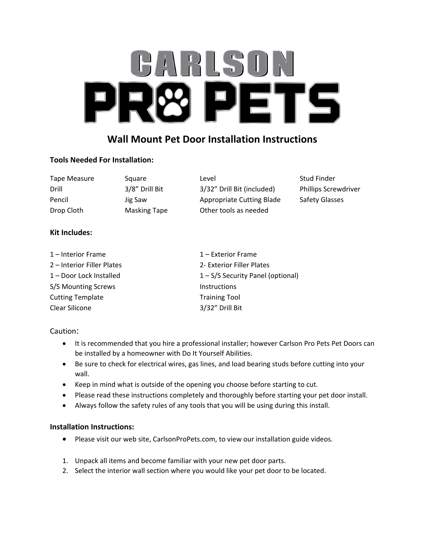# **BARLSOI** ETS 미  $\mathbf{1}$

### **Wall Mount Pet Door Installation Instructions**

#### **Tools Needed For Installation:**

| Tape Measure | Square              | Level                      | Stud Finder                 |
|--------------|---------------------|----------------------------|-----------------------------|
| Drill        | 3/8" Drill Bit      | 3/32" Drill Bit (included) | <b>Phillips Screwdriver</b> |
| Pencil       | Jig Saw             | Appropriate Cutting Blade  | <b>Safety Glasses</b>       |
| Drop Cloth   | <b>Masking Tape</b> | Other tools as needed      |                             |

#### **Kit Includes:**

| 1 – Interior Frame         | $1$ – Exterior Frame              |  |
|----------------------------|-----------------------------------|--|
| 2 – Interior Filler Plates | 2- Exterior Filler Plates         |  |
| 1 – Door Lock Installed    | 1 - S/S Security Panel (optional) |  |
| S/S Mounting Screws        | <b>Instructions</b>               |  |
| <b>Cutting Template</b>    | <b>Training Tool</b>              |  |
| Clear Silicone             | 3/32" Drill Bit                   |  |

#### Caution:

- It is recommended that you hire a professional installer; however Carlson Pro Pets Pet Doors can be installed by a homeowner with Do It Yourself Abilities.
- Be sure to check for electrical wires, gas lines, and load bearing studs before cutting into your wall.
- Keep in mind what is outside of the opening you choose before starting to cut.
- Please read these instructions completely and thoroughly before starting your pet door install.
- Always follow the safety rules of any tools that you will be using during this install.

#### **Installation Instructions:**

- Please visit our web site, CarlsonProPets.com, to view our installation guide videos.
- 1. Unpack all items and become familiar with your new pet door parts.
- 2. Select the interior wall section where you would like your pet door to be located.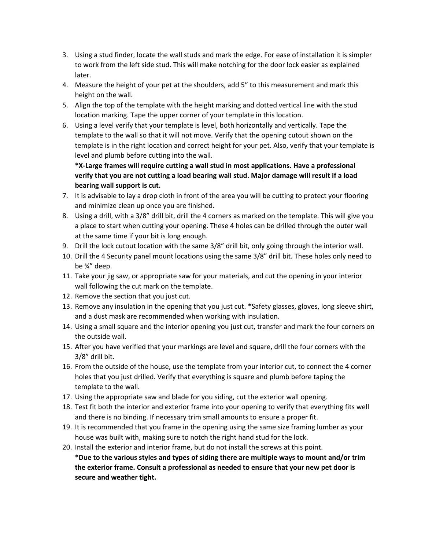- 3. Using a stud finder, locate the wall studs and mark the edge. For ease of installation it is simpler to work from the left side stud. This will make notching for the door lock easier as explained later.
- 4. Measure the height of your pet at the shoulders, add 5" to this measurement and mark this height on the wall.
- 5. Align the top of the template with the height marking and dotted vertical line with the stud location marking. Tape the upper corner of your template in this location.
- 6. Using a level verify that your template is level, both horizontally and vertically. Tape the template to the wall so that it will not move. Verify that the opening cutout shown on the template is in the right location and correct height for your pet. Also, verify that your template is level and plumb before cutting into the wall.

**\*X-Large frames will require cutting a wall stud in most applications. Have a professional verify that you are not cutting a load bearing wall stud. Major damage will result if a load bearing wall support is cut.**

- 7. It is advisable to lay a drop cloth in front of the area you will be cutting to protect your flooring and minimize clean up once you are finished.
- 8. Using a drill, with a 3/8" drill bit, drill the 4 corners as marked on the template. This will give you a place to start when cutting your opening. These 4 holes can be drilled through the outer wall at the same time if your bit is long enough.
- 9. Drill the lock cutout location with the same 3/8" drill bit, only going through the interior wall.
- 10. Drill the 4 Security panel mount locations using the same 3/8" drill bit. These holes only need to be ¾" deep.
- 11. Take your jig saw, or appropriate saw for your materials, and cut the opening in your interior wall following the cut mark on the template.
- 12. Remove the section that you just cut.
- 13. Remove any insulation in the opening that you just cut. \*Safety glasses, gloves, long sleeve shirt, and a dust mask are recommended when working with insulation.
- 14. Using a small square and the interior opening you just cut, transfer and mark the four corners on the outside wall.
- 15. After you have verified that your markings are level and square, drill the four corners with the 3/8" drill bit.
- 16. From the outside of the house, use the template from your interior cut, to connect the 4 corner holes that you just drilled. Verify that everything is square and plumb before taping the template to the wall.
- 17. Using the appropriate saw and blade for you siding, cut the exterior wall opening.
- 18. Test fit both the interior and exterior frame into your opening to verify that everything fits well and there is no binding. If necessary trim small amounts to ensure a proper fit.
- 19. It is recommended that you frame in the opening using the same size framing lumber as your house was built with, making sure to notch the right hand stud for the lock.

20. Install the exterior and interior frame, but do not install the screws at this point. **\*Due to the various styles and types of siding there are multiple ways to mount and/or trim the exterior frame. Consult a professional as needed to ensure that your new pet door is secure and weather tight.**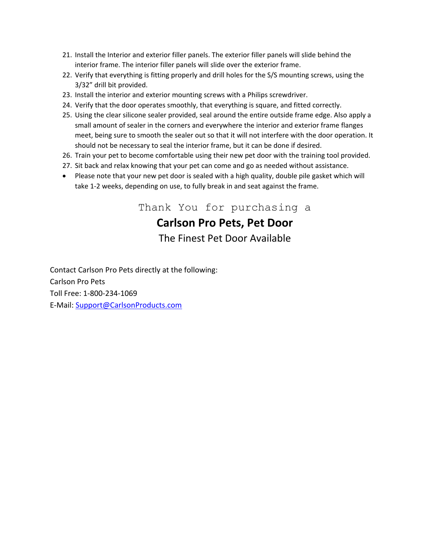- 21. Install the Interior and exterior filler panels. The exterior filler panels will slide behind the interior frame. The interior filler panels will slide over the exterior frame.
- 22. Verify that everything is fitting properly and drill holes for the S/S mounting screws, using the 3/32" drill bit provided.
- 23. Install the interior and exterior mounting screws with a Philips screwdriver.
- 24. Verify that the door operates smoothly, that everything is square, and fitted correctly.
- 25. Using the clear silicone sealer provided, seal around the entire outside frame edge. Also apply a small amount of sealer in the corners and everywhere the interior and exterior frame flanges meet, being sure to smooth the sealer out so that it will not interfere with the door operation. It should not be necessary to seal the interior frame, but it can be done if desired.
- 26. Train your pet to become comfortable using their new pet door with the training tool provided.
- 27. Sit back and relax knowing that your pet can come and go as needed without assistance.
- Please note that your new pet door is sealed with a high quality, double pile gasket which will take 1-2 weeks, depending on use, to fully break in and seat against the frame.

Thank You for purchasing a **Carlson Pro Pets, Pet Door** The Finest Pet Door Available

Contact Carlson Pro Pets directly at the following: Carlson Pro Pets Toll Free: 1-800-234-1069 E-Mail: [Support@CarlsonProducts.com](mailto:Support@carlsonproducts.com)